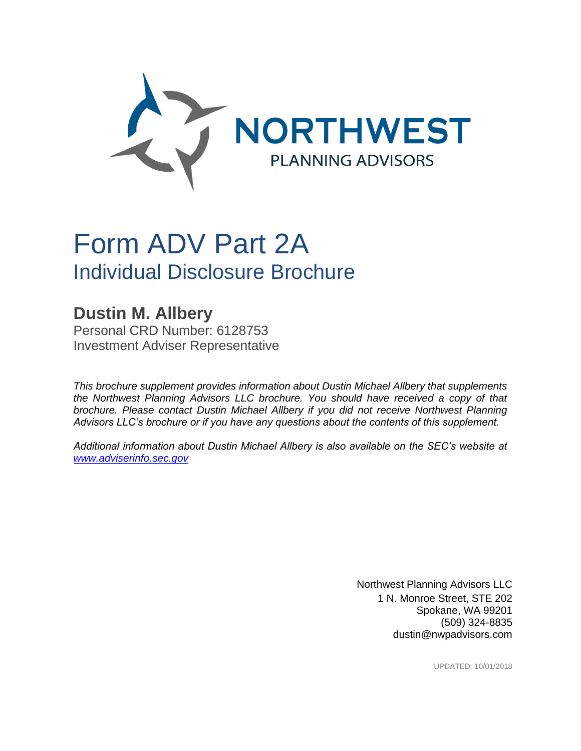

# Form ADV Part 2A Individual Disclosure Brochure

**Dustin M. Allbery** Personal CRD Number: 6128753 Investment Adviser Representative

*This brochure supplement provides information about Dustin Michael Allbery that supplements the Northwest Planning Advisors LLC brochure. You should have received a copy of that brochure. Please contact Dustin Michael Allbery if you did not receive Northwest Planning Advisors LLC's brochure or if you have any questions about the contents of this supplement.*

*Additional information about Dustin Michael Allbery is also available on the SEC's website at [www.adviserinfo.sec.gov](http://www.adviserinfo.sec.gov/)*

> Northwest Planning Advisors LLC 1 N. Monroe Street, STE 202 Spokane, WA 99201 (509) 324-8835 dustin@nwpadvisors.com

> > UPDATED: 10/01/2018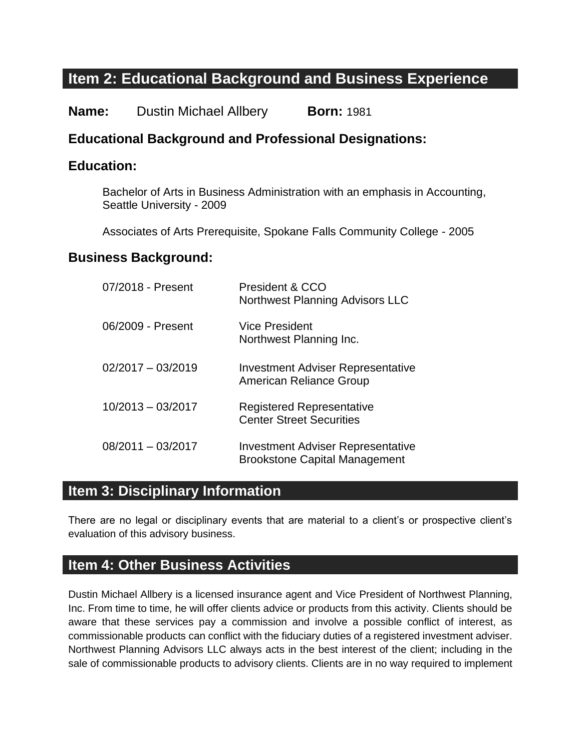# **Item 2: Educational Background and Business Experience**

**Name:** Dustin Michael Allbery **Born:** 1981

#### **Educational Background and Professional Designations:**

#### **Education:**

Bachelor of Arts in Business Administration with an emphasis in Accounting, Seattle University - 2009

Associates of Arts Prerequisite, Spokane Falls Community College - 2005

#### **Business Background:**

| 07/2018 - Present   | President & CCO<br><b>Northwest Planning Advisors LLC</b>                        |
|---------------------|----------------------------------------------------------------------------------|
| 06/2009 - Present   | Vice President<br>Northwest Planning Inc.                                        |
| $02/2017 - 03/2019$ | <b>Investment Adviser Representative</b><br>American Reliance Group              |
| $10/2013 - 03/2017$ | <b>Registered Representative</b><br><b>Center Street Securities</b>              |
| $08/2011 - 03/2017$ | <b>Investment Adviser Representative</b><br><b>Brookstone Capital Management</b> |

#### **Item 3: Disciplinary Information**

There are no legal or disciplinary events that are material to a client's or prospective client's evaluation of this advisory business.

#### **Item 4: Other Business Activities**

Dustin Michael Allbery is a licensed insurance agent and Vice President of Northwest Planning, Inc. From time to time, he will offer clients advice or products from this activity. Clients should be aware that these services pay a commission and involve a possible conflict of interest, as commissionable products can conflict with the fiduciary duties of a registered investment adviser. Northwest Planning Advisors LLC always acts in the best interest of the client; including in the sale of commissionable products to advisory clients. Clients are in no way required to implement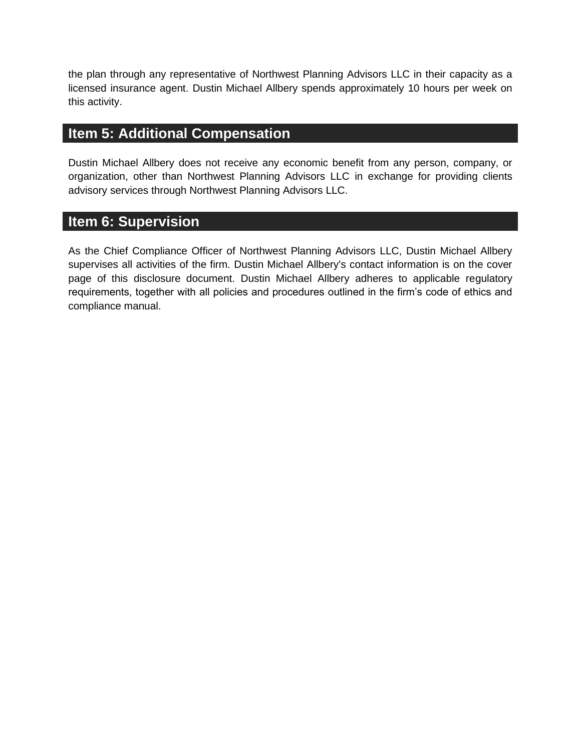the plan through any representative of Northwest Planning Advisors LLC in their capacity as a licensed insurance agent. Dustin Michael Allbery spends approximately 10 hours per week on this activity.

### **Item 5: Additional Compensation**

Dustin Michael Allbery does not receive any economic benefit from any person, company, or organization, other than Northwest Planning Advisors LLC in exchange for providing clients advisory services through Northwest Planning Advisors LLC.

#### **Item 6: Supervision**

As the Chief Compliance Officer of Northwest Planning Advisors LLC, Dustin Michael Allbery supervises all activities of the firm. Dustin Michael Allbery's contact information is on the cover page of this disclosure document. Dustin Michael Allbery adheres to applicable regulatory requirements, together with all policies and procedures outlined in the firm's code of ethics and compliance manual.